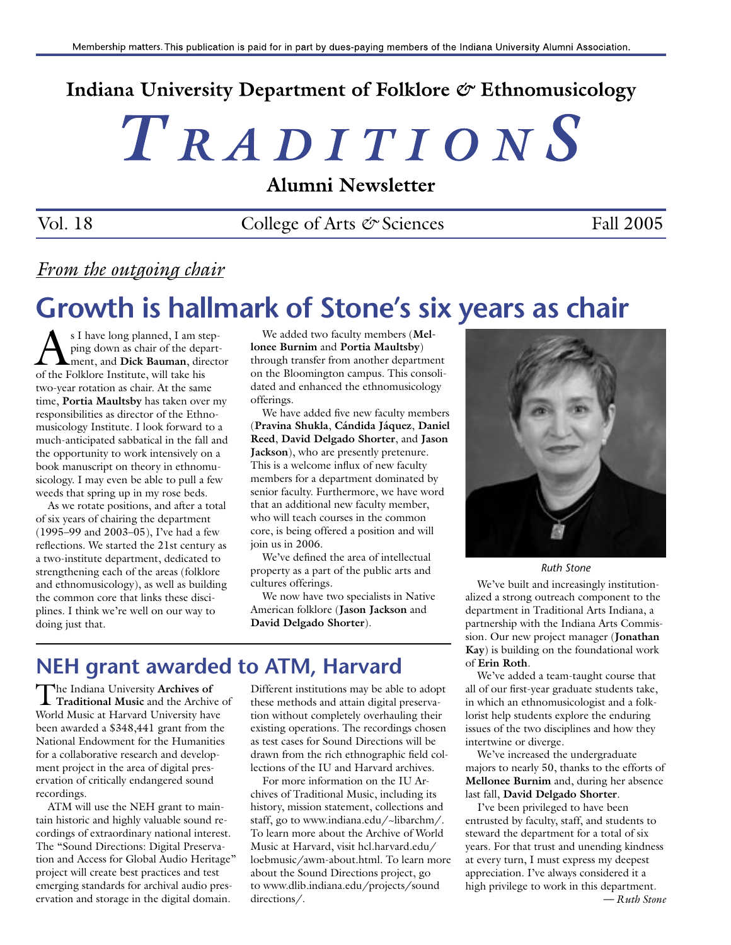## Indiana University Department of Folklore & Ethnomusicology

# TRADITIONS

Alumni Newsletter

Vol. 18 College of Arts  $\mathcal O$  Sciences Fall 2005

### *From the outgoing chair*

## **Growth is hallmark of Stone's six years as chair**

 $\sum_{\text{ping down as chair of the depart}}$ <br> $\sum_{\text{ment, and Dick Bauman, direct}}$ ping down as chair of the department, and **Dick Bauman**, director of the Folklore Institute, will take his two-year rotation as chair. At the same time, **Portia Maultsby** has taken over my responsibilities as director of the Ethnomusicology Institute. I look forward to a much-anticipated sabbatical in the fall and the opportunity to work intensively on a book manuscript on theory in ethnomusicology. I may even be able to pull a few weeds that spring up in my rose beds.

As we rotate positions, and after a total of six years of chairing the department (1995–99 and 2003–05), I've had a few reflections. We started the 21st century as a two-institute department, dedicated to strengthening each of the areas (folklore and ethnomusicology), as well as building the common core that links these disciplines. I think we're well on our way to doing just that.

We added two faculty members (**Mellonee Burnim** and **Portia Maultsby**) through transfer from another department on the Bloomington campus. This consolidated and enhanced the ethnomusicology offerings.

We have added five new faculty members (**Pravina Shukla**, **Cándida Jáquez**, **Daniel Reed**, **David Delgado Shorter**, and **Jason Jackson**), who are presently pretenure. This is a welcome influx of new faculty members for a department dominated by senior faculty. Furthermore, we have word that an additional new faculty member, who will teach courses in the common core, is being offered a position and will join us in 2006.

We've defined the area of intellectual property as a part of the public arts and cultures offerings.

We now have two specialists in Native American folklore (**Jason Jackson** and **David Delgado Shorter**).

## **NEH grant awarded to ATM, Harvard**

The Indiana University **Archives of Traditional Music** and the Archive of World Music at Harvard University have been awarded a \$348,441 grant from the National Endowment for the Humanities for a collaborative research and development project in the area of digital preservation of critically endangered sound recordings.

ATM will use the NEH grant to maintain historic and highly valuable sound recordings of extraordinary national interest. The "Sound Directions: Digital Preservation and Access for Global Audio Heritage" project will create best practices and test emerging standards for archival audio preservation and storage in the digital domain.

Different institutions may be able to adopt these methods and attain digital preservation without completely overhauling their existing operations. The recordings chosen as test cases for Sound Directions will be drawn from the rich ethnographic field collections of the IU and Harvard archives.

For more information on the IU Archives of Traditional Music, including its history, mission statement, collections and staff, go to www.indiana.edu/~libarchm/. To learn more about the Archive of World Music at Harvard, visit hcl.harvard.edu/ loebmusic/awm-about.html. To learn more about the Sound Directions project, go to www.dlib.indiana.edu/projects/sound directions/.



*Ruth Stone*

We've built and increasingly institutionalized a strong outreach component to the department in Traditional Arts Indiana, a partnership with the Indiana Arts Commission. Our new project manager (**Jonathan Kay**) is building on the foundational work of **Erin Roth**.

We've added a team-taught course that all of our first-year graduate students take, in which an ethnomusicologist and a folklorist help students explore the enduring issues of the two disciplines and how they intertwine or diverge.

We've increased the undergraduate majors to nearly 50, thanks to the efforts of **Mellonee Burnim** and, during her absence last fall, **David Delgado Shorter**.

I've been privileged to have been entrusted by faculty, staff, and students to steward the department for a total of six years. For that trust and unending kindness at every turn, I must express my deepest appreciation. I've always considered it a high privilege to work in this department. *— Ruth Stone*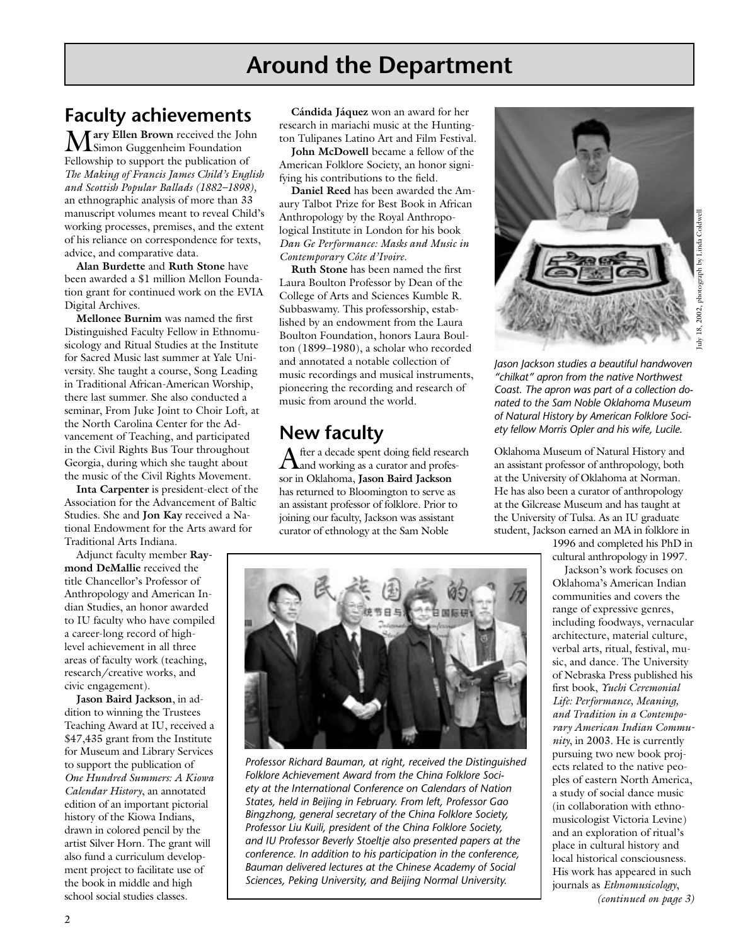## **Around the Department**

## **Faculty achievements**

M**ary Ellen Brown** received the John Simon Guggenheim Foundation Fellowship to support the publication of *The Making of Francis James Child's English and Scottish Popular Ballads (1882–1898),* an ethnographic analysis of more than 33 manuscript volumes meant to reveal Child's working processes, premises, and the extent of his reliance on correspondence for texts, advice, and comparative data.

**Alan Burdette** and **Ruth Stone** have been awarded a \$1 million Mellon Foundation grant for continued work on the EVIA Digital Archives.

**Mellonee Burnim** was named the first Distinguished Faculty Fellow in Ethnomusicology and Ritual Studies at the Institute for Sacred Music last summer at Yale University. She taught a course, Song Leading in Traditional African-American Worship, there last summer. She also conducted a seminar, From Juke Joint to Choir Loft*,* at the North Carolina Center for the Advancement of Teaching, and participated in the Civil Rights Bus Tour throughout Georgia, during which she taught about the music of the Civil Rights Movement.

**Inta Carpenter** is president-elect of the Association for the Advancement of Baltic Studies. She and **Jon Kay** received a National Endowment for the Arts award for Traditional Arts Indiana.

Adjunct faculty member **Raymond DeMallie** received the title Chancellor's Professor of Anthropology and American Indian Studies, an honor awarded to IU faculty who have compiled a career-long record of highlevel achievement in all three areas of faculty work (teaching, research/creative works, and civic engagement).

**Jason Baird Jackson**, in addition to winning the Trustees Teaching Award at IU, received a \$47,435 grant from the Institute for Museum and Library Services to support the publication of *One Hundred Summers: A Kiowa Calendar History*, an annotated edition of an important pictorial history of the Kiowa Indians, drawn in colored pencil by the artist Silver Horn. The grant will also fund a curriculum development project to facilitate use of the book in middle and high school social studies classes.

**Cándida Jáquez** won an award for her research in mariachi music at the Huntington Tulipanes Latino Art and Film Festival.

**John McDowell** became a fellow of the American Folklore Society, an honor signifying his contributions to the field.

**Daniel Reed** has been awarded the Amaury Talbot Prize for Best Book in African Anthropology by the Royal Anthropological Institute in London for his book *Dan Ge Performance: Masks and Music in Contemporary Côte d'Ivoire*.

**Ruth Stone** has been named the first Laura Boulton Professor by Dean of the College of Arts and Sciences Kumble R. Subbaswamy. This professorship, established by an endowment from the Laura Boulton Foundation, honors Laura Boulton (1899–1980), a scholar who recorded and annotated a notable collection of music recordings and musical instruments, pioneering the recording and research of music from around the world.

## **New faculty**

After a decade spent doing field research  $\Lambda$ and working as a curator and professor in Oklahoma, **Jason Baird Jackson** has returned to Bloomington to serve as an assistant professor of folklore. Prior to joining our faculty, Jackson was assistant curator of ethnology at the Sam Noble



uly 18, 2002, photograph by Linda Coldwell July 18, 2002, photograph by Linda Coldwell

*Jason Jackson studies a beautiful handwoven "chilkat" apron from the native Northwest Coast. The apron was part of a collection donated to the Sam Noble Oklahoma Museum of Natural History by American Folklore Society fellow Morris Opler and his wife, Lucile.*

Oklahoma Museum of Natural History and an assistant professor of anthropology, both at the University of Oklahoma at Norman. He has also been a curator of anthropology at the Gilcrease Museum and has taught at the University of Tulsa. As an IU graduate student, Jackson earned an MA in folklore in

> 1996 and completed his PhD in cultural anthropology in 1997.

Jackson's work focuses on Oklahoma's American Indian communities and covers the range of expressive genres, including foodways, vernacular architecture, material culture, verbal arts, ritual, festival, music, and dance. The University of Nebraska Press published his first book, *Yuchi Ceremonial Life: Performance, Meaning, and Tradition in a Contemporary American Indian Community*, in 2003. He is currently pursuing two new book projects related to the native peoples of eastern North America, a study of social dance music (in collaboration with ethnomusicologist Victoria Levine) and an exploration of ritual's place in cultural history and local historical consciousness. His work has appeared in such journals as *Ethnomusicology*, *(continued on page 3)*



*Professor Richard Bauman, at right, received the Distinguished Folklore Achievement Award from the China Folklore Society at the International Conference on Calendars of Nation States, held in Beijing in February. From left, Professor Gao Bingzhong, general secretary of the China Folklore Society, Professor Liu Kuili, president of the China Folklore Society, and IU Professor Beverly Stoeltje also presented papers at the conference. In addition to his participation in the conference, Bauman delivered lectures at the Chinese Academy of Social Sciences, Peking University, and Beijing Normal University.*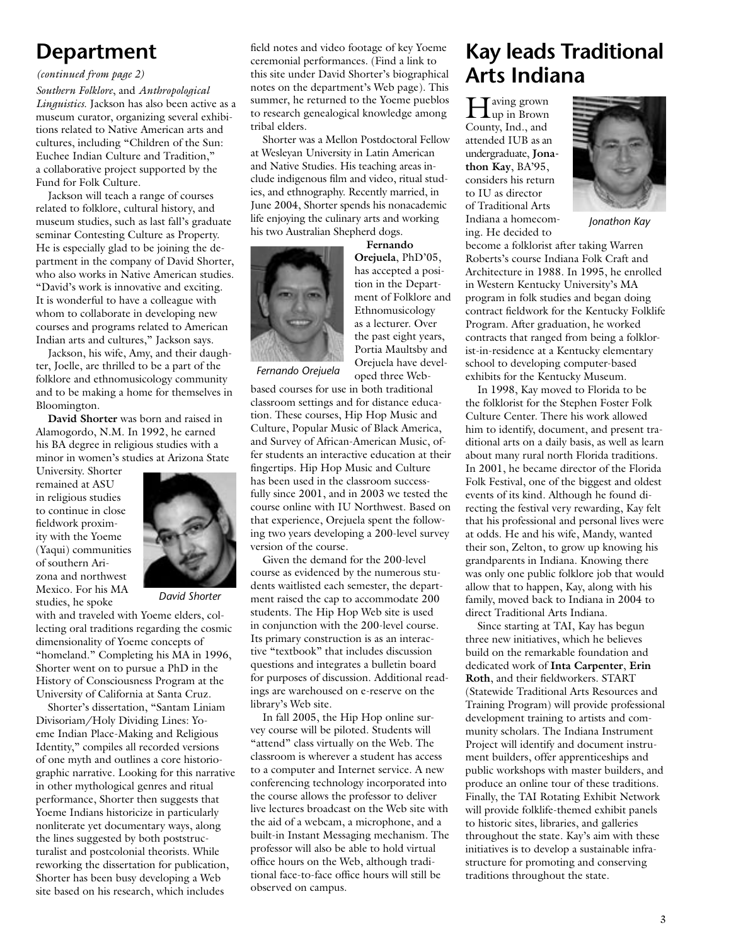## **Department**

#### *(continued from page 2)*

*Southern Folklore*, and *Anthropological Linguistics*. Jackson has also been active as a museum curator, organizing several exhibitions related to Native American arts and cultures, including "Children of the Sun: Euchee Indian Culture and Tradition," a collaborative project supported by the Fund for Folk Culture.

Jackson will teach a range of courses related to folklore, cultural history, and museum studies, such as last fall's graduate seminar Contesting Culture as Property. He is especially glad to be joining the department in the company of David Shorter, who also works in Native American studies. "David's work is innovative and exciting. It is wonderful to have a colleague with whom to collaborate in developing new courses and programs related to American Indian arts and cultures," Jackson says.

Jackson, his wife, Amy, and their daughter, Joelle, are thrilled to be a part of the folklore and ethnomusicology community and to be making a home for themselves in Bloomington.

**David Shorter** was born and raised in Alamogordo, N.M. In 1992, he earned his BA degree in religious studies with a minor in women's studies at Arizona State

University. Shorter remained at ASU in religious studies to continue in close fieldwork proximity with the Yoeme (Yaqui) communities of southern Arizona and northwest Mexico. For his MA studies, he spoke



*David Shorter*

with and traveled with Yoeme elders, collecting oral traditions regarding the cosmic dimensionality of Yoeme concepts of "homeland." Completing his MA in 1996, Shorter went on to pursue a PhD in the History of Consciousness Program at the University of California at Santa Cruz.

Shorter's dissertation, "Santam Liniam Divisoriam/Holy Dividing Lines: Yoeme Indian Place-Making and Religious Identity," compiles all recorded versions of one myth and outlines a core historiographic narrative. Looking for this narrative in other mythological genres and ritual performance, Shorter then suggests that Yoeme Indians historicize in particularly nonliterate yet documentary ways, along the lines suggested by both poststructuralist and postcolonial theorists. While reworking the dissertation for publication, Shorter has been busy developing a Web site based on his research, which includes

field notes and video footage of key Yoeme ceremonial performances. (Find a link to this site under David Shorter's biographical notes on the department's Web page). This summer, he returned to the Yoeme pueblos to research genealogical knowledge among tribal elders.

Shorter was a Mellon Postdoctoral Fellow at Wesleyan University in Latin American and Native Studies. His teaching areas include indigenous film and video, ritual studies, and ethnography. Recently married, in June 2004, Shorter spends his nonacademic life enjoying the culinary arts and working his two Australian Shepherd dogs.



**Orejuela**, PhD'05, has accepted a position in the Department of Folklore and Ethnomusicology as a lecturer. Over the past eight years, Portia Maultsby and Orejuela have developed three Web-

**Fernando** 

*Fernando Orejuela*

based courses for use in both traditional classroom settings and for distance education. These courses, Hip Hop Music and Culture, Popular Music of Black America, and Survey of African-American Music, offer students an interactive education at their fingertips. Hip Hop Music and Culture has been used in the classroom successfully since 2001, and in 2003 we tested the course online with IU Northwest. Based on that experience, Orejuela spent the following two years developing a 200-level survey version of the course.

Given the demand for the 200-level course as evidenced by the numerous students waitlisted each semester, the department raised the cap to accommodate 200 students. The Hip Hop Web site is used in conjunction with the 200-level course. Its primary construction is as an interactive "textbook" that includes discussion questions and integrates a bulletin board for purposes of discussion. Additional readings are warehoused on e-reserve on the library's Web site.

In fall 2005, the Hip Hop online survey course will be piloted. Students will "attend" class virtually on the Web. The classroom is wherever a student has access to a computer and Internet service. A new conferencing technology incorporated into the course allows the professor to deliver live lectures broadcast on the Web site with the aid of a webcam, a microphone, and a built-in Instant Messaging mechanism. The professor will also be able to hold virtual office hours on the Web, although traditional face-to-face office hours will still be observed on campus.

## **Kay leads Traditional Arts Indiana**

Having grown up in Brown County, Ind., and attended IUB as an undergraduate, **Jonathon Kay**, BA'95, considers his return to IU as director of Traditional Arts Indiana a homecoming. He decided to



*Jonathon Kay*

become a folklorist after taking Warren Roberts's course Indiana Folk Craft and Architecture in 1988. In 1995, he enrolled in Western Kentucky University's MA program in folk studies and began doing contract fieldwork for the Kentucky Folklife Program. After graduation, he worked contracts that ranged from being a folklorist-in-residence at a Kentucky elementary school to developing computer-based exhibits for the Kentucky Museum.

In 1998, Kay moved to Florida to be the folklorist for the Stephen Foster Folk Culture Center. There his work allowed him to identify, document, and present traditional arts on a daily basis, as well as learn about many rural north Florida traditions. In 2001, he became director of the Florida Folk Festival, one of the biggest and oldest events of its kind. Although he found directing the festival very rewarding, Kay felt that his professional and personal lives were at odds. He and his wife, Mandy, wanted their son, Zelton, to grow up knowing his grandparents in Indiana. Knowing there was only one public folklore job that would allow that to happen, Kay, along with his family, moved back to Indiana in 2004 to direct Traditional Arts Indiana.

Since starting at TAI, Kay has begun three new initiatives, which he believes build on the remarkable foundation and dedicated work of **Inta Carpenter**, **Erin Roth**, and their fieldworkers. START (Statewide Traditional Arts Resources and Training Program) will provide professional development training to artists and community scholars. The Indiana Instrument Project will identify and document instrument builders, offer apprenticeships and public workshops with master builders, and produce an online tour of these traditions. Finally, the TAI Rotating Exhibit Network will provide folklife-themed exhibit panels to historic sites, libraries, and galleries throughout the state. Kay's aim with these initiatives is to develop a sustainable infrastructure for promoting and conserving traditions throughout the state.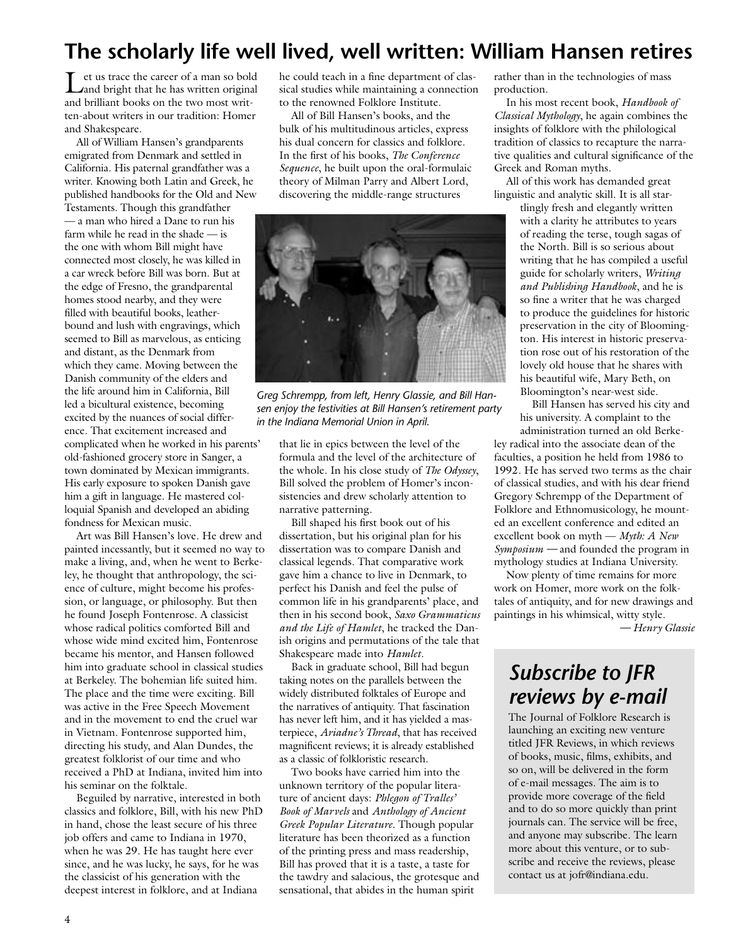## **The scholarly life well lived, well written: William Hansen retires**

Let us trace the career of a man so bold and bright that he has written original and brilliant books on the two most written-about writers in our tradition: Homer and Shakespeare.

All of William Hansen's grandparents emigrated from Denmark and settled in California. His paternal grandfather was a writer. Knowing both Latin and Greek, he published handbooks for the Old and New Testaments. Though this grandfather — a man who hired a Dane to run his farm while he read in the shade — is the one with whom Bill might have connected most closely, he was killed in a car wreck before Bill was born. But at the edge of Fresno, the grandparental homes stood nearby, and they were filled with beautiful books, leatherbound and lush with engravings, which seemed to Bill as marvelous, as enticing and distant, as the Denmark from which they came. Moving between the Danish community of the elders and the life around him in California, Bill led a bicultural existence, becoming excited by the nuances of social difference. That excitement increased and complicated when he worked in his parents' old-fashioned grocery store in Sanger, a town dominated by Mexican immigrants. His early exposure to spoken Danish gave him a gift in language. He mastered colloquial Spanish and developed an abiding fondness for Mexican music.

Art was Bill Hansen's love. He drew and painted incessantly, but it seemed no way to make a living, and, when he went to Berkeley, he thought that anthropology, the science of culture, might become his profession, or language, or philosophy. But then he found Joseph Fontenrose. A classicist whose radical politics comforted Bill and whose wide mind excited him, Fontenrose became his mentor, and Hansen followed him into graduate school in classical studies at Berkeley. The bohemian life suited him. The place and the time were exciting. Bill was active in the Free Speech Movement and in the movement to end the cruel war in Vietnam. Fontenrose supported him, directing his study, and Alan Dundes, the greatest folklorist of our time and who received a PhD at Indiana, invited him into his seminar on the folktale.

Beguiled by narrative, interested in both classics and folklore, Bill, with his new PhD in hand, chose the least secure of his three job offers and came to Indiana in 1970, when he was 29. He has taught here ever since, and he was lucky, he says, for he was the classicist of his generation with the deepest interest in folklore, and at Indiana

he could teach in a fine department of classical studies while maintaining a connection to the renowned Folklore Institute.

All of Bill Hansen's books, and the bulk of his multitudinous articles, express his dual concern for classics and folklore. In the first of his books, *The Conference Sequence*, he built upon the oral-formulaic theory of Milman Parry and Albert Lord, discovering the middle-range structures



*Greg Schrempp, from left, Henry Glassie, and Bill Hansen enjoy the festivities at Bill Hansen's retirement party in the Indiana Memorial Union in April.* 

that lie in epics between the level of the formula and the level of the architecture of the whole. In his close study of *The Odyssey*, Bill solved the problem of Homer's inconsistencies and drew scholarly attention to narrative patterning.

Bill shaped his first book out of his dissertation, but his original plan for his dissertation was to compare Danish and classical legends. That comparative work gave him a chance to live in Denmark, to perfect his Danish and feel the pulse of common life in his grandparents' place, and then in his second book, *Saxo Grammaticus and the Life of Hamlet*, he tracked the Danish origins and permutations of the tale that Shakespeare made into *Hamlet*.

Back in graduate school, Bill had begun taking notes on the parallels between the widely distributed folktales of Europe and the narratives of antiquity. That fascination has never left him, and it has yielded a masterpiece, *Ariadne's Thread*, that has received magnificent reviews; it is already established as a classic of folkloristic research.

Two books have carried him into the unknown territory of the popular literature of ancient days: *Phlegon of Tralles' Book of Marvels* and *Anthology of Ancient Greek Popular Literature*. Though popular literature has been theorized as a function of the printing press and mass readership, Bill has proved that it is a taste, a taste for the tawdry and salacious, the grotesque and sensational, that abides in the human spirit

rather than in the technologies of mass production.

In his most recent book, *Handbook of Classical Mythology*, he again combines the insights of folklore with the philological tradition of classics to recapture the narrative qualities and cultural significance of the Greek and Roman myths.

All of this work has demanded great linguistic and analytic skill. It is all star-

tlingly fresh and elegantly written with a clarity he attributes to years of reading the terse, tough sagas of the North. Bill is so serious about writing that he has compiled a useful guide for scholarly writers, *Writing and Publishing Handbook*, and he is so fine a writer that he was charged to produce the guidelines for historic preservation in the city of Bloomington. His interest in historic preservation rose out of his restoration of the lovely old house that he shares with his beautiful wife, Mary Beth, on Bloomington's near-west side.

Bill Hansen has served his city and his university. A complaint to the administration turned an old Berke-

ley radical into the associate dean of the faculties, a position he held from 1986 to 1992. He has served two terms as the chair of classical studies, and with his dear friend Gregory Schrempp of the Department of Folklore and Ethnomusicology, he mounted an excellent conference and edited an excellent book on myth — *Myth: A New Symposium —* and founded the program in mythology studies at Indiana University.

Now plenty of time remains for more work on Homer, more work on the folktales of antiquity, and for new drawings and paintings in his whimsical, witty style. *— Henry Glassie*

## *Subscribe to JFR reviews by e-mail*

The Journal of Folklore Research is launching an exciting new venture titled JFR Reviews, in which reviews of books, music, films, exhibits, and so on, will be delivered in the form of e-mail messages. The aim is to provide more coverage of the field and to do so more quickly than print journals can. The service will be free, and anyone may subscribe. The learn more about this venture, or to subscribe and receive the reviews, please contact us at jofr@indiana.edu.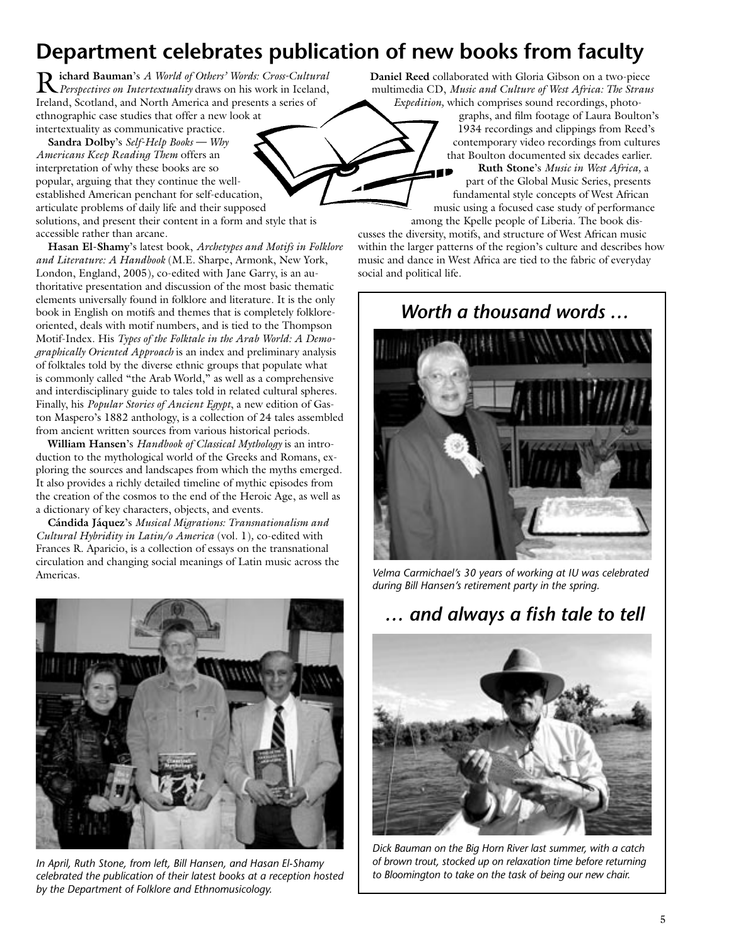## **Department celebrates publication of new books from faculty**

R**ichard Bauman**'s *A World of Others' Words: Cross-Cultural Perspectives on Intertextuality* draws on his work in Iceland, Ireland, Scotland, and North America and presents a series of ethnographic case studies that offer a new look at intertextuality as communicative practice.

**Sandra Dolby**'s *Self-Help Books — Why Americans Keep Reading Them* offers an interpretation of why these books are so popular, arguing that they continue the wellestablished American penchant for self-education, articulate problems of daily life and their supposed solutions, and present their content in a form and style that is accessible rather than arcane.

**Hasan El-Shamy**'s latest book, *Archetypes and Motifs in Folklore and Literature: A Handbook* (M.E. Sharpe, Armonk, New York, London, England, 2005)*,* co-edited with Jane Garry, is an authoritative presentation and discussion of the most basic thematic elements universally found in folklore and literature. It is the only book in English on motifs and themes that is completely folkloreoriented, deals with motif numbers, and is tied to the Thompson Motif-Index. His *Types of the Folktale in the Arab World: A Demographically Oriented Approach* is an index and preliminary analysis of folktales told by the diverse ethnic groups that populate what is commonly called "the Arab World," as well as a comprehensive and interdisciplinary guide to tales told in related cultural spheres. Finally, his *Popular Stories of Ancient Egypt*, a new edition of Gaston Maspero's 1882 anthology, is a collection of 24 tales assembled from ancient written sources from various historical periods.

**William Hansen**'s *Handbook of Classical Mythology* is an introduction to the mythological world of the Greeks and Romans, exploring the sources and landscapes from which the myths emerged. It also provides a richly detailed timeline of mythic episodes from the creation of the cosmos to the end of the Heroic Age, as well as a dictionary of key characters, objects, and events.

**Cándida Jáquez**'s *Musical Migrations: Transnationalism and Cultural Hybridity in Latin/o America* (vol. 1)*,* co-edited with Frances R. Aparicio, is a collection of essays on the transnational circulation and changing social meanings of Latin music across the Americas.



*In April, Ruth Stone, from left, Bill Hansen, and Hasan El-Shamy celebrated the publication of their latest books at a reception hosted by the Department of Folklore and Ethnomusicology.*

**Daniel Reed** collaborated with Gloria Gibson on a two-piece multimedia CD, *Music and Culture of West Africa: The Straus Expedition,* which comprises sound recordings, photo-

graphs, and film footage of Laura Boulton's 1934 recordings and clippings from Reed's contemporary video recordings from cultures that Boulton documented six decades earlier. **Ruth Stone**'s *Music in West Africa,* a part of the Global Music Series, presents fundamental style concepts of West African music using a focused case study of performance

among the Kpelle people of Liberia. The book discusses the diversity, motifs, and structure of West African music within the larger patterns of the region's culture and describes how music and dance in West Africa are tied to the fabric of everyday social and political life.

## *Worth a thousand words …*



*Velma Carmichael's 30 years of working at IU was celebrated during Bill Hansen's retirement party in the spring.*

## *… and always a fish tale to tell*



*Dick Bauman on the Big Horn River last summer, with a catch of brown trout, stocked up on relaxation time before returning to Bloomington to take on the task of being our new chair.*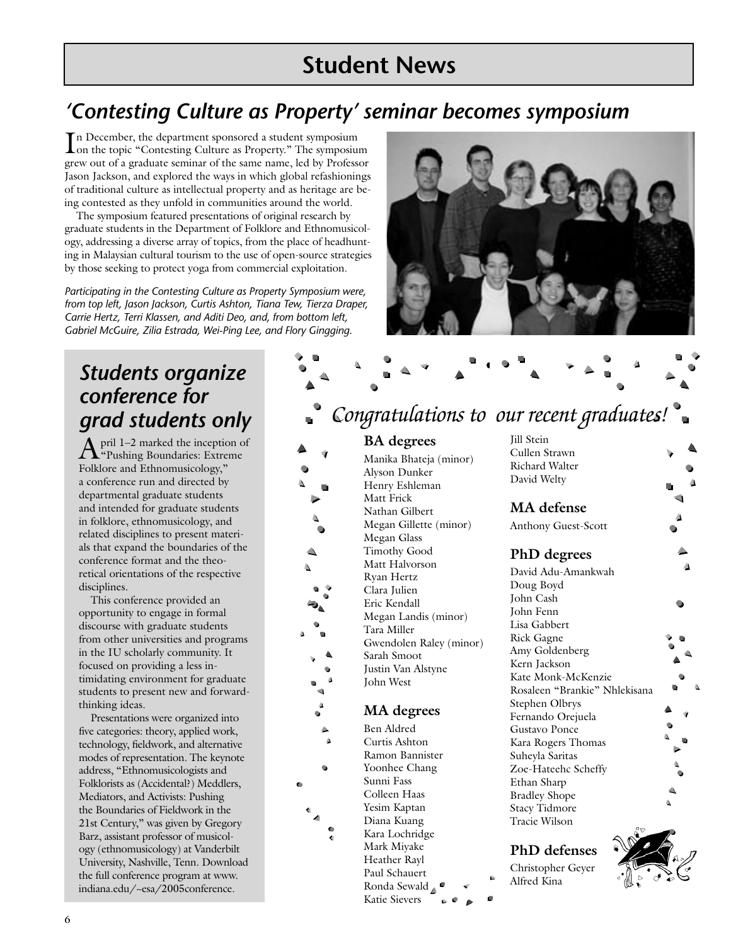## **Student News**

## *'Contesting Culture as Property' seminar becomes symposium*

In December, the department sponsored a student symposium<br>Ion the topic "Contesting Culture as Property." The symposium n December, the department sponsored a student symposium grew out of a graduate seminar of the same name, led by Professor Jason Jackson, and explored the ways in which global refashionings of traditional culture as intellectual property and as heritage are being contested as they unfold in communities around the world.

The symposium featured presentations of original research by graduate students in the Department of Folklore and Ethnomusicology, addressing a diverse array of topics, from the place of headhunting in Malaysian cultural tourism to the use of open-source strategies by those seeking to protect yoga from commercial exploitation.

*Participating in the Contesting Culture as Property Symposium were, from top left, Jason Jackson, Curtis Ashton, Tiana Tew, Tierza Draper, Carrie Hertz, Terri Klassen, and Aditi Deo, and, from bottom left, Gabriel McGuire, Zilia Estrada, Wei-Ping Lee, and Flory Gingging.*

## *Students organize conference for grad students only*

April 1–2 marked the inception of "Pushing Boundaries: Extreme Folklore and Ethnomusicology," a conference run and directed by departmental graduate students and intended for graduate students in folklore, ethnomusicology, and related disciplines to present materials that expand the boundaries of the conference format and the theoretical orientations of the respective disciplines.

This conference provided an opportunity to engage in formal discourse with graduate students from other universities and programs in the IU scholarly community. It focused on providing a less intimidating environment for graduate students to present new and forwardthinking ideas.

Presentations were organized into five categories: theory, applied work, technology, fieldwork, and alternative modes of representation. The keynote address, "Ethnomusicologists and Folklorists as (Accidental?) Meddlers, Mediators, and Activists: Pushing the Boundaries of Fieldwork in the 21st Century," was given by Gregory Barz, assistant professor of musicology (ethnomusicology) at Vanderbilt University, Nashville, Tenn. Download the full conference program at www. indiana.edu/~esa/2005conference.

## *Congratulations to our recent graduates!*

#### **BA degrees**

Manika Bhateja (minor) Alyson Dunker Henry Eshleman Matt Frick Nathan Gilbert Megan Gillette (minor) Megan Glass Timothy Good Matt Halvorson Ryan Hertz Clara Julien Eric Kendall Megan Landis (minor) Tara Miller Gwendolen Raley (minor) Sarah Smoot Justin Van Alstyne John West

#### **MA degrees**

Ben Aldred Curtis Ashton Ramon Bannister Yoonhee Chang Sunni Fass Colleen Haas Yesim Kaptan Diana Kuang Kara Lochridge Mark Miyake Heather Rayl Paul Schauert Ronda Sewald Katie Sievers

Jill Stein Cullen Strawn Richard Walter David Welty

### **MA defense**

Anthony Guest-Scott

#### **PhD degrees**

David Adu-Amankwah Doug Boyd John Cash John Fenn Lisa Gabbert Rick Gagne Amy Goldenberg Kern Jackson Kate Monk-McKenzie Rosaleen "Brankie" Nhlekisana Stephen Olbrys Fernando Orejuela Gustavo Ponce Kara Rogers Thomas Suheyla Saritas Zoe-Hateehc Scheffy Ethan Sharp Bradley Shope Stacy Tidmore Tracie Wilson

**PhD defenses**

Christopher Geyer Alfred Kina



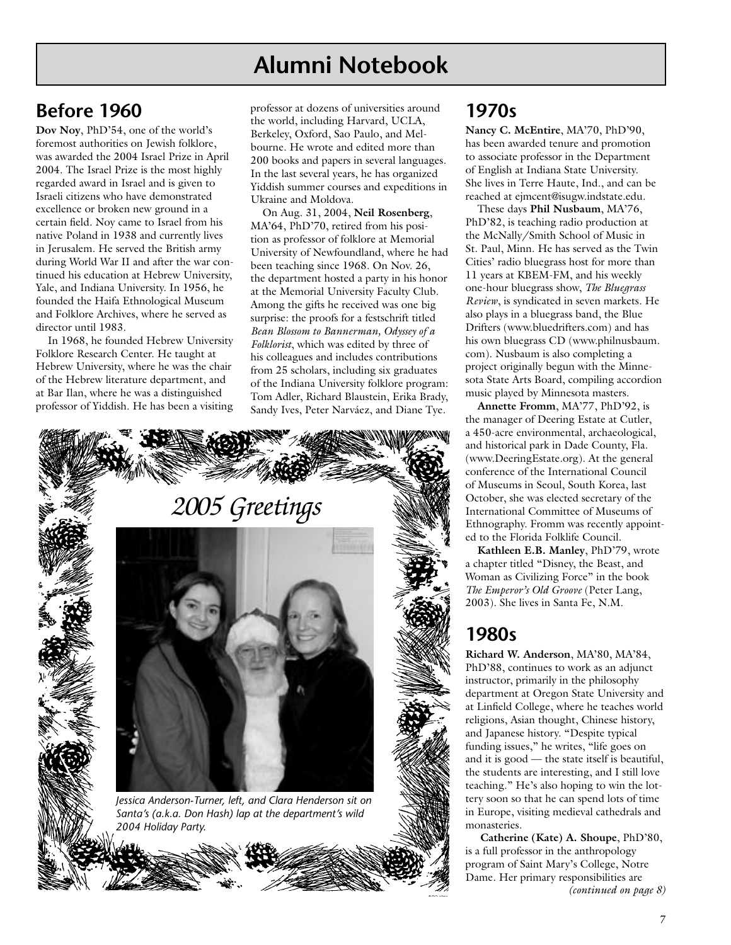## **Alumni Notebook**

## **Before 1960**

**Dov Noy**, PhD'54, one of the world's foremost authorities on Jewish folklore, was awarded the 2004 Israel Prize in April 2004. The Israel Prize is the most highly regarded award in Israel and is given to Israeli citizens who have demonstrated excellence or broken new ground in a certain field. Noy came to Israel from his native Poland in 1938 and currently lives in Jerusalem. He served the British army during World War II and after the war continued his education at Hebrew University, Yale, and Indiana University. In 1956, he founded the Haifa Ethnological Museum and Folklore Archives, where he served as director until 1983.

In 1968, he founded Hebrew University Folklore Research Center. He taught at Hebrew University, where he was the chair of the Hebrew literature department, and at Bar Ilan, where he was a distinguished professor of Yiddish. He has been a visiting professor at dozens of universities around the world, including Harvard, UCLA, Berkeley, Oxford, Sao Paulo, and Melbourne. He wrote and edited more than 200 books and papers in several languages. In the last several years, he has organized Yiddish summer courses and expeditions in Ukraine and Moldova.

On Aug. 31, 2004, **Neil Rosenberg**, MA'64, PhD'70, retired from his position as professor of folklore at Memorial University of Newfoundland, where he had been teaching since 1968. On Nov. 26, the department hosted a party in his honor at the Memorial University Faculty Club. Among the gifts he received was one big surprise: the proofs for a festschrift titled *Bean Blossom to Bannerman, Odyssey of a Folklorist*, which was edited by three of his colleagues and includes contributions from 25 scholars, including six graduates of the Indiana University folklore program: Tom Adler, Richard Blaustein, Erika Brady, Sandy Ives, Peter Narváez, and Diane Tye.



#### **1970s**

**Nancy C. McEntire**, MA'70, PhD'90, has been awarded tenure and promotion to associate professor in the Department of English at Indiana State University. She lives in Terre Haute, Ind., and can be reached at ejmcent@isugw.indstate.edu.

These days **Phil Nusbaum**, MA'76, PhD'82, is teaching radio production at the McNally/Smith School of Music in St. Paul, Minn. He has served as the Twin Cities' radio bluegrass host for more than 11 years at KBEM-FM, and his weekly one-hour bluegrass show, *The Bluegrass Review*, is syndicated in seven markets. He also plays in a bluegrass band, the Blue Drifters (www.bluedrifters.com) and has his own bluegrass CD (www.philnusbaum. com). Nusbaum is also completing a project originally begun with the Minnesota State Arts Board, compiling accordion music played by Minnesota masters.

**Annette Fromm**, MA'77, PhD'92, is the manager of Deering Estate at Cutler, a 450-acre environmental, archaeological, and historical park in Dade County, Fla. (www.DeeringEstate.org). At the general conference of the International Council of Museums in Seoul, South Korea, last October, she was elected secretary of the International Committee of Museums of Ethnography. Fromm was recently appointed to the Florida Folklife Council.

**Kathleen E.B. Manley**, PhD'79, wrote a chapter titled "Disney, the Beast, and Woman as Civilizing Force" in the book *The Emperor's Old Groove* (Peter Lang, 2003). She lives in Santa Fe, N.M.

### **1980s**

**Richard W. Anderson**, MA'80, MA'84, PhD'88, continues to work as an adjunct instructor, primarily in the philosophy department at Oregon State University and at Linfield College, where he teaches world religions, Asian thought, Chinese history, and Japanese history. "Despite typical funding issues," he writes, "life goes on and it is good — the state itself is beautiful, the students are interesting, and I still love teaching." He's also hoping to win the lottery soon so that he can spend lots of time in Europe, visiting medieval cathedrals and monasteries.

*(continued on page 8)* **Catherine (Kate) A. Shoupe**, PhD'80, is a full professor in the anthropology program of Saint Mary's College, Notre Dame. Her primary responsibilities are

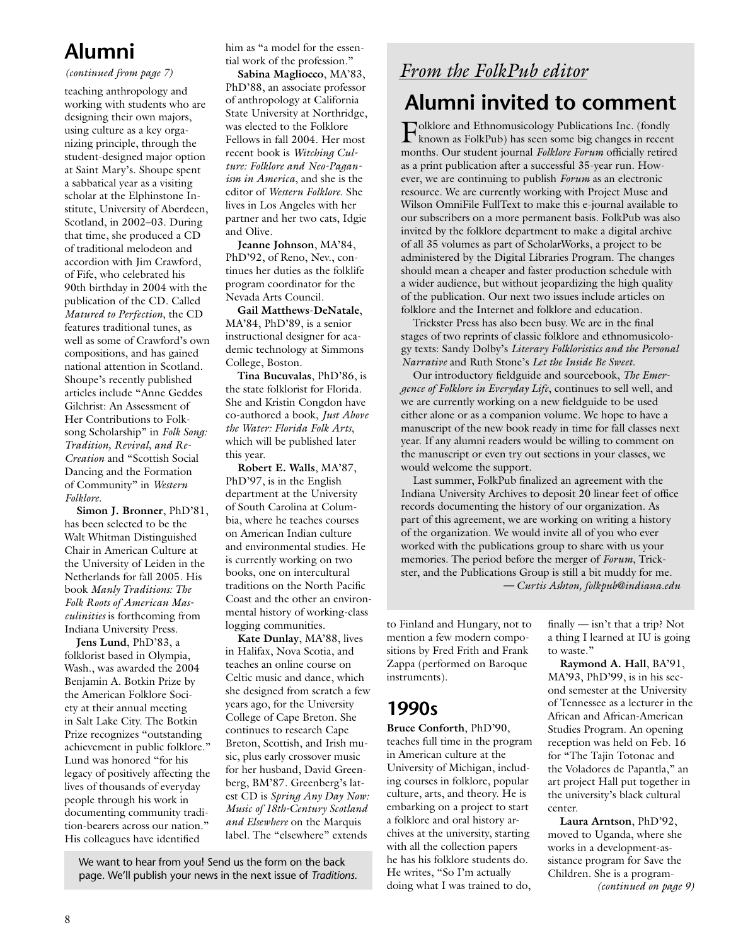## **Alumni**

#### *(continued from page 7)*

teaching anthropology and working with students who are designing their own majors, using culture as a key organizing principle, through the student-designed major option at Saint Mary's. Shoupe spent a sabbatical year as a visiting scholar at the Elphinstone Institute, University of Aberdeen, Scotland, in 2002–03. During that time, she produced a CD of traditional melodeon and accordion with Jim Crawford, of Fife, who celebrated his 90th birthday in 2004 with the publication of the CD. Called *Matured to Perfection*, the CD features traditional tunes, as well as some of Crawford's own compositions, and has gained national attention in Scotland. Shoupe's recently published articles include "Anne Geddes Gilchrist: An Assessment of Her Contributions to Folksong Scholarship" in *Folk Song: Tradition, Revival, and Re-Creation* and "Scottish Social Dancing and the Formation of Community" in *Western Folklore*.

**Simon J. Bronner**, PhD'81, has been selected to be the Walt Whitman Distinguished Chair in American Culture at the University of Leiden in the Netherlands for fall 2005. His book *Manly Traditions: The Folk Roots of American Masculinities* is forthcoming from Indiana University Press.

**Jens Lund**, PhD'83, a folklorist based in Olympia, Wash., was awarded the 2004 Benjamin A. Botkin Prize by the American Folklore Society at their annual meeting in Salt Lake City. The Botkin Prize recognizes "outstanding achievement in public folklore." Lund was honored "for his legacy of positively affecting the lives of thousands of everyday people through his work in documenting community tradition-bearers across our nation." His colleagues have identified

him as "a model for the essential work of the profession."

**Sabina Magliocco**, MA'83, PhD'88, an associate professor of anthropology at California State University at Northridge, was elected to the Folklore Fellows in fall 2004. Her most recent book is *Witching Culture: Folklore and Neo-Paganism in America*, and she is the editor of *Western Folklore*. She lives in Los Angeles with her partner and her two cats, Idgie and Olive.

**Jeanne Johnson**, MA'84, PhD'92, of Reno, Nev., continues her duties as the folklife program coordinator for the Nevada Arts Council.

**Gail Matthews-DeNatale**, MA'84, PhD'89, is a senior instructional designer for academic technology at Simmons College, Boston.

**Tina Bucuvalas**, PhD'86, is the state folklorist for Florida. She and Kristin Congdon have co-authored a book, *Just Above the Water: Florida Folk Arts*, which will be published later this year.

**Robert E. Walls**, MA'87, PhD'97, is in the English department at the University of South Carolina at Columbia, where he teaches courses on American Indian culture and environmental studies. He is currently working on two books, one on intercultural traditions on the North Pacific Coast and the other an environmental history of working-class logging communities.

**Kate Dunlay**, MA'88, lives in Halifax, Nova Scotia, and teaches an online course on Celtic music and dance, which she designed from scratch a few years ago, for the University College of Cape Breton. She continues to research Cape Breton, Scottish, and Irish music, plus early crossover music for her husband, David Greenberg, BM'87. Greenberg's latest CD is *Spring Any Day Now: Music of 18th-Century Scotland and Elsewhere* on the Marquis label. The "elsewhere" extends

We want to hear from you! Send us the form on the back page. We'll publish your news in the next issue of *Traditions*.

## *From the FolkPub editor*

## **Alumni invited to comment**

Folklore and Ethnomusicology Publications Inc. (fondly known as FolkPub) has seen some big changes in recent months. Our student journal *Folklore Forum* officially retired as a print publication after a successful 35-year run. However, we are continuing to publish *Forum* as an electronic resource. We are currently working with Project Muse and Wilson OmniFile FullText to make this e-journal available to our subscribers on a more permanent basis. FolkPub was also invited by the folklore department to make a digital archive of all 35 volumes as part of ScholarWorks, a project to be administered by the Digital Libraries Program. The changes should mean a cheaper and faster production schedule with a wider audience, but without jeopardizing the high quality of the publication. Our next two issues include articles on folklore and the Internet and folklore and education.

Trickster Press has also been busy. We are in the final stages of two reprints of classic folklore and ethnomusicology texts: Sandy Dolby's *Literary Folkloristics and the Personal Narrative* and Ruth Stone's *Let the Inside Be Sweet*.

Our introductory fieldguide and sourcebook, *The Emergence of Folklore in Everyday Life*, continues to sell well, and we are currently working on a new fieldguide to be used either alone or as a companion volume. We hope to have a manuscript of the new book ready in time for fall classes next year. If any alumni readers would be willing to comment on the manuscript or even try out sections in your classes, we would welcome the support.

Last summer, FolkPub finalized an agreement with the Indiana University Archives to deposit 20 linear feet of office records documenting the history of our organization. As part of this agreement, we are working on writing a history of the organization. We would invite all of you who ever worked with the publications group to share with us your memories. The period before the merger of *Forum*, Trickster, and the Publications Group is still a bit muddy for me. *— Curtis Ashton, folkpub@indiana.edu*

to Finland and Hungary, not to mention a few modern compositions by Fred Frith and Frank Zappa (performed on Baroque instruments).

## **1990s**

**Bruce Conforth**, PhD'90, teaches full time in the program in American culture at the University of Michigan, including courses in folklore, popular culture, arts, and theory. He is embarking on a project to start a folklore and oral history archives at the university, starting with all the collection papers he has his folklore students do. He writes, "So I'm actually doing what I was trained to do,

finally — isn't that a trip? Not a thing I learned at IU is going to waste."

**Raymond A. Hall**, BA'91, MA'93, PhD'99, is in his second semester at the University of Tennessee as a lecturer in the African and African-American Studies Program. An opening reception was held on Feb. 16 for "The Tajin Totonac and the Voladores de Papantla," an art project Hall put together in the university's black cultural center.

*(continued on page 9)* **Laura Arntson**, PhD'92, moved to Uganda, where she works in a development-assistance program for Save the Children. She is a program-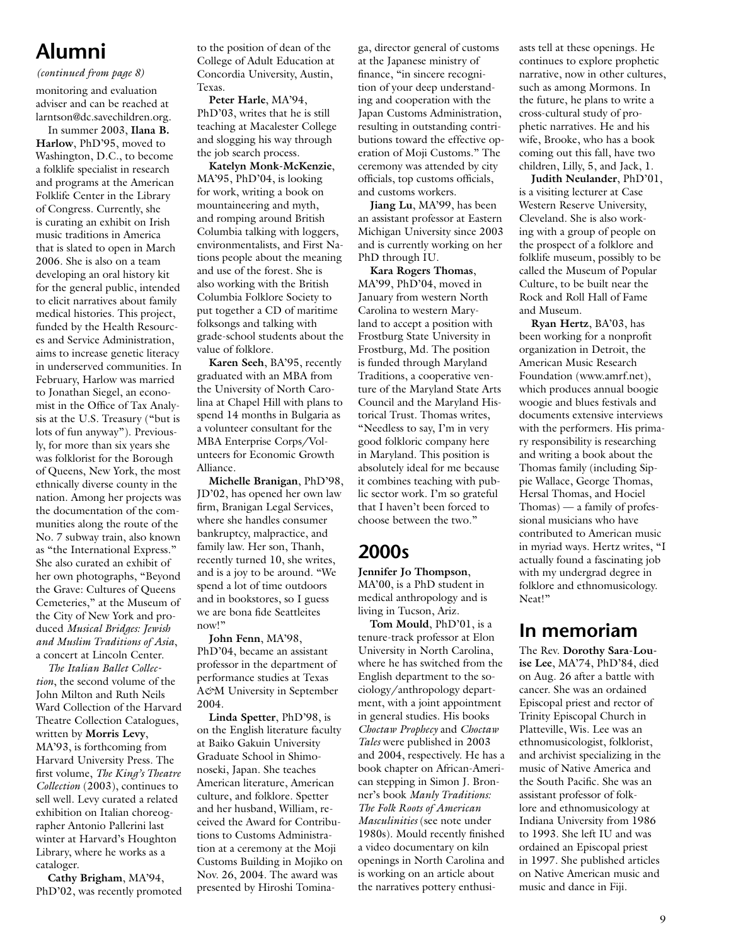## **Alumni**

#### *(continued from page 8)*

monitoring and evaluation adviser and can be reached at larntson@dc.savechildren.org. In summer 2003, **Ilana B.** 

**Harlow**, PhD'95, moved to Washington, D.C., to become a folklife specialist in research and programs at the American Folklife Center in the Library of Congress. Currently, she is curating an exhibit on Irish music traditions in America that is slated to open in March 2006. She is also on a team developing an oral history kit for the general public, intended to elicit narratives about family medical histories. This project, funded by the Health Resources and Service Administration, aims to increase genetic literacy in underserved communities. In February, Harlow was married to Jonathan Siegel, an economist in the Office of Tax Analysis at the U.S. Treasury ("but is lots of fun anyway"). Previously, for more than six years she was folklorist for the Borough of Queens, New York, the most ethnically diverse county in the nation. Among her projects was the documentation of the communities along the route of the No. 7 subway train, also known as "the International Express." She also curated an exhibit of her own photographs, "Beyond the Grave: Cultures of Queens Cemeteries," at the Museum of the City of New York and produced *Musical Bridges: Jewish and Muslim Traditions of Asia*, a concert at Lincoln Center.

*The Italian Ballet Collection*, the second volume of the John Milton and Ruth Neils Ward Collection of the Harvard Theatre Collection Catalogues, written by **Morris Levy**, MA'93, is forthcoming from Harvard University Press. The first volume, *The King's Theatre Collection* (2003), continues to sell well. Levy curated a related exhibition on Italian choreographer Antonio Pallerini last winter at Harvard's Houghton Library, where he works as a cataloger.

**Cathy Brigham**, MA'94, PhD'02, was recently promoted to the position of dean of the College of Adult Education at Concordia University, Austin, Texas.

**Peter Harle**, MA'94, PhD'03, writes that he is still teaching at Macalester College and slogging his way through the job search process.

**Katelyn Monk-McKenzie**, MA'95, PhD'04, is looking for work, writing a book on mountaineering and myth, and romping around British Columbia talking with loggers, environmentalists, and First Nations people about the meaning and use of the forest. She is also working with the British Columbia Folklore Society to put together a CD of maritime folksongs and talking with grade-school students about the value of folklore.

**Karen Seeh**, BA'95, recently graduated with an MBA from the University of North Carolina at Chapel Hill with plans to spend 14 months in Bulgaria as a volunteer consultant for the MBA Enterprise Corps/Volunteers for Economic Growth Alliance.

**Michelle Branigan**, PhD'98, JD'02, has opened her own law firm, Branigan Legal Services, where she handles consumer bankruptcy, malpractice, and family law. Her son, Thanh, recently turned 10, she writes, and is a joy to be around. "We spend a lot of time outdoors and in bookstores, so I guess we are bona fide Seattleites now!"

**John Fenn**, MA'98, PhD'04, became an assistant professor in the department of performance studies at Texas A*&*M University in September 2004.

**Linda Spetter**, PhD'98, is on the English literature faculty at Baiko Gakuin University Graduate School in Shimonoseki, Japan. She teaches American literature, American culture, and folklore. Spetter and her husband, William, received the Award for Contributions to Customs Administration at a ceremony at the Moji Customs Building in Mojiko on Nov. 26, 2004. The award was presented by Hiroshi Tominaga, director general of customs at the Japanese ministry of finance, "in sincere recognition of your deep understanding and cooperation with the Japan Customs Administration, resulting in outstanding contributions toward the effective operation of Moji Customs." The ceremony was attended by city officials, top customs officials, and customs workers.

**Jiang Lu**, MA'99, has been an assistant professor at Eastern Michigan University since 2003 and is currently working on her PhD through IU.

**Kara Rogers Thomas**, MA'99, PhD'04, moved in January from western North Carolina to western Maryland to accept a position with Frostburg State University in Frostburg, Md. The position is funded through Maryland Traditions, a cooperative venture of the Maryland State Arts Council and the Maryland Historical Trust. Thomas writes, "Needless to say, I'm in very good folkloric company here in Maryland. This position is absolutely ideal for me because it combines teaching with public sector work. I'm so grateful that I haven't been forced to choose between the two."

## **2000s**

**Jennifer Jo Thompson**, MA'00, is a PhD student in medical anthropology and is living in Tucson, Ariz.

**Tom Mould**, PhD'01, is a tenure-track professor at Elon University in North Carolina, where he has switched from the English department to the sociology/anthropology department, with a joint appointment in general studies. His books *Choctaw Prophecy* and *Choctaw Tales* were published in 2003 and 2004, respectively. He has a book chapter on African-American stepping in Simon J. Bronner's book *Manly Traditions: The Folk Roots of American Masculinities* (see note under 1980s). Mould recently finished a video documentary on kiln openings in North Carolina and is working on an article about the narratives pottery enthusiasts tell at these openings. He continues to explore prophetic narrative, now in other cultures, such as among Mormons. In the future, he plans to write a cross-cultural study of prophetic narratives. He and his wife, Brooke, who has a book coming out this fall, have two children, Lilly, 5, and Jack, 1.

**Judith Neulander**, PhD'01, is a visiting lecturer at Case Western Reserve University, Cleveland. She is also working with a group of people on the prospect of a folklore and folklife museum, possibly to be called the Museum of Popular Culture, to be built near the Rock and Roll Hall of Fame and Museum.

**Ryan Hertz**, BA'03, has been working for a nonprofit organization in Detroit, the American Music Research Foundation (www.amrf.net), which produces annual boogie woogie and blues festivals and documents extensive interviews with the performers. His primary responsibility is researching and writing a book about the Thomas family (including Sippie Wallace, George Thomas, Hersal Thomas, and Hociel Thomas) — a family of professional musicians who have contributed to American music in myriad ways. Hertz writes, "I actually found a fascinating job with my undergrad degree in folklore and ethnomusicology. Neat!"

#### **In memoriam**

The Rev. **Dorothy Sara-Louise Lee**, MA'74, PhD'84, died on Aug. 26 after a battle with cancer. She was an ordained Episcopal priest and rector of Trinity Episcopal Church in Platteville, Wis. Lee was an ethnomusicologist, folklorist, and archivist specializing in the music of Native America and the South Pacific. She was an assistant professor of folklore and ethnomusicology at Indiana University from 1986 to 1993. She left IU and was ordained an Episcopal priest in 1997. She published articles on Native American music and music and dance in Fiji.